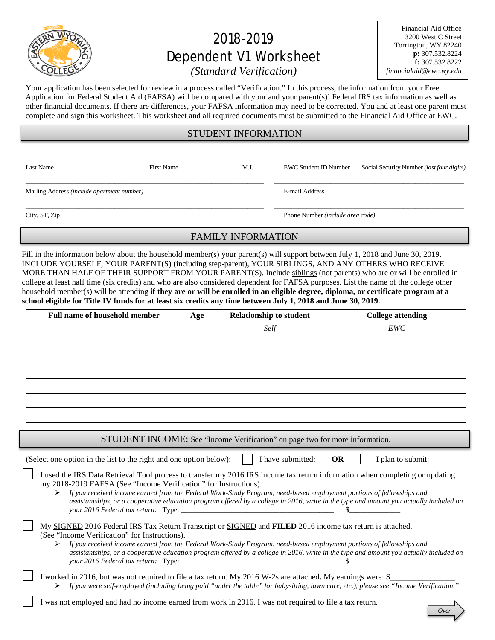

# 2018-2019 Dependent V1 Worksheet

Financial Aid Office 3200 West C Street Torrington, WY 82240 **p:** 307.532.8224 **f:** 307.532.8222 *financialaid@ewc.wy.edu*

## *(Standard Verification)*

Your application has been selected for review in a process called "Verification." In this process, the information from your Free Application for Federal Student Aid (FAFSA) will be compared with your and your parent(s)' Federal IRS tax information as well as other financial documents. If there are differences, your FAFSA information may need to be corrected. You and at least one parent must complete and sign this worksheet. This worksheet and all required documents must be submitted to the Financial Aid Office at EWC.

### STUDENT INFORMATION

\_\_\_\_\_\_\_\_\_\_\_\_\_\_\_\_\_\_\_\_\_\_\_\_\_\_\_\_\_\_\_\_\_\_\_\_\_\_\_\_\_\_\_\_\_\_\_\_\_\_\_\_\_\_\_\_\_\_\_ \_\_\_\_\_\_\_\_\_\_\_\_\_\_\_\_\_\_\_\_ \_\_\_\_\_\_\_\_\_\_\_\_\_\_\_\_\_\_\_\_\_\_\_\_\_\_

\_\_\_\_\_\_\_\_\_\_\_\_\_\_\_\_\_\_\_\_\_\_\_\_\_\_\_\_\_\_\_\_\_\_\_\_\_\_\_\_\_\_\_\_\_\_\_\_\_\_\_\_\_\_\_\_\_\_\_ \_\_\_\_\_\_\_\_\_\_\_\_\_\_\_\_\_\_\_\_\_\_\_\_\_\_\_\_\_\_\_\_\_\_\_\_\_\_\_\_\_\_\_\_\_\_\_

\_\_\_\_\_\_\_\_\_\_\_\_\_\_\_\_\_\_\_\_\_\_\_\_\_\_\_\_\_\_\_\_\_\_\_\_\_\_\_\_\_\_\_\_\_\_\_\_\_\_\_\_\_\_\_\_\_\_\_ \_\_\_\_\_\_\_\_\_\_\_\_\_\_\_\_\_\_\_\_\_\_\_\_\_\_\_\_\_\_\_\_\_\_\_\_\_\_\_\_\_\_\_\_\_\_\_

Last Name First Name First Name M.I. EWC Student ID Number Social Security Number *(last four digits)* 

Mailing Address *(include apartment number)* E-mail Address

City, ST, Zip Phone Number *(include area code)*

## FAMILY INFORMATION

Fill in the information below about the household member(s) your parent(s) will support between July 1, 2018 and June 30, 2019. INCLUDE YOURSELF, YOUR PARENT(S) (including step-parent), YOUR SIBLINGS, AND ANY OTHERS WHO RECEIVE MORE THAN HALF OF THEIR SUPPORT FROM YOUR PARENT(S). Include siblings (not parents) who are or will be enrolled in college at least half time (six credits) and who are also considered dependent for FAFSA purposes. List the name of the college other household member(s) will be attending **if they are or will be enrolled in an eligible degree, diploma, or certificate program at a school eligible for Title IV funds for at least six credits any time between July 1, 2018 and June 30, 2019.**

| <b>Full name of household member</b> | Age | <b>Relationship to student</b> | <b>College attending</b> |  |  |
|--------------------------------------|-----|--------------------------------|--------------------------|--|--|
|                                      |     | Self                           | EWC                      |  |  |
|                                      |     |                                |                          |  |  |
|                                      |     |                                |                          |  |  |
|                                      |     |                                |                          |  |  |
|                                      |     |                                |                          |  |  |
|                                      |     |                                |                          |  |  |
|                                      |     |                                |                          |  |  |

STUDENT INCOME: See "Income Verification" on page two for more information.

(Select one option in the list to the right and one option below):  $\|\cdot\|$  have submitted: **OR**  $\|\cdot\|$  plan to submit:

*Over*

| I used the IRS Data Retrieval Tool process to transfer my 2016 IRS income tax return information when completing or updating |
|------------------------------------------------------------------------------------------------------------------------------|
| my 2018-2019 FAFSA (See "Income Verification" for Instructions).                                                             |

 *If you received income earned from the Federal Work-Study Program, need-based employment portions of fellowships and assistantships, or a cooperative education program offered by a college in 2016, write in the type and amount you actually included on your 2016 Federal tax return:* Type: \_\_\_\_\_\_\_\_\_\_\_\_\_\_\_\_\_\_\_\_\_\_\_\_\_\_\_\_\_\_\_\_\_\_\_\_\_\_\_\_\_\_ \$\_\_\_\_\_\_\_\_\_\_\_\_\_\_

|  | My SIGNED 2016 Federal IRS Tax Return Transcript or SIGNED and FILED 2016 income tax return is attached. |  |  |  |  |
|--|----------------------------------------------------------------------------------------------------------|--|--|--|--|
|  | (See "Income Verification" for Instructions).                                                            |  |  |  |  |

- *If you received income earned from the Federal Work-Study Program, need-based employment portions of fellowships and assistantships, or a cooperative education program offered by a college in 2016, write in the type and amount you actually included on your* 2016 Federal tax return: Type:
- I worked in 2016, but was not required to file a tax return. My 2016 W-2s are attached. My earnings were: \$\_ *If you were self-employed (including being paid "under the table" for babysitting, lawn care, etc.), please see "Income Verification."*

I was not employed and had no income earned from work in 2016. I was not required to file a tax return.